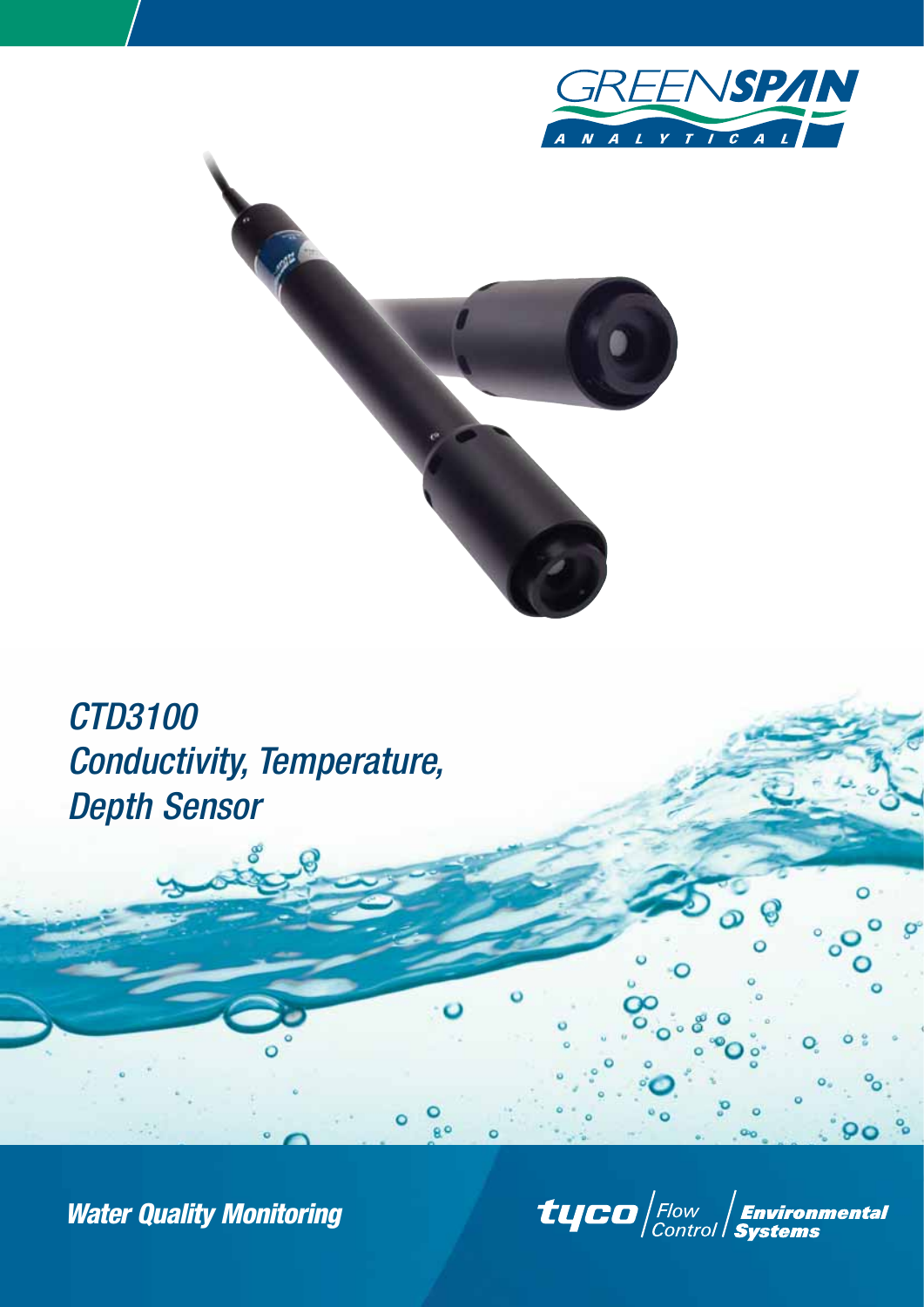



g o

# *CTD3100 Conductivity, Temperature, Depth Sensor*

*Water Quality Monitoring*

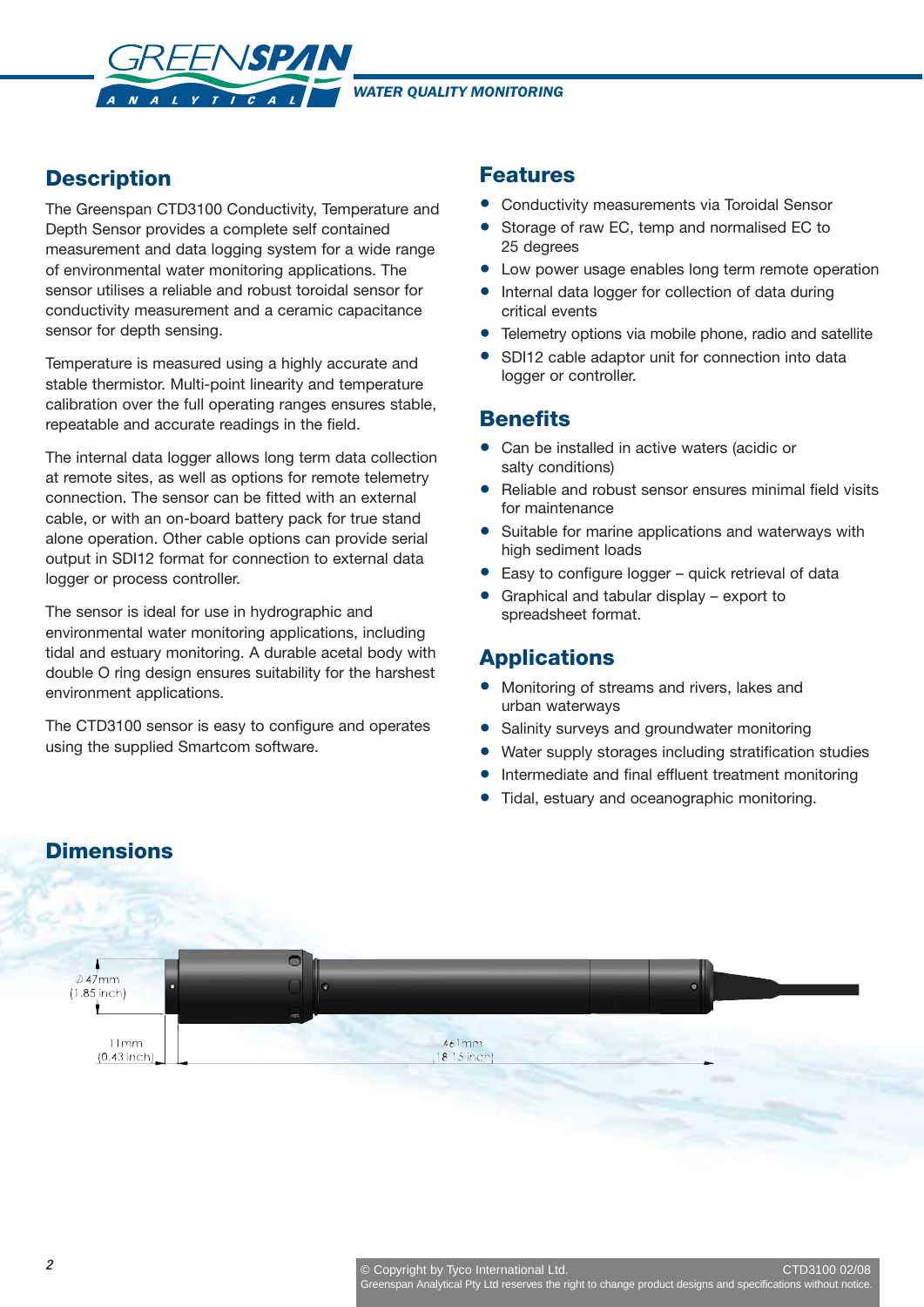*WATER QUALITY MONITORING* 

# **Description**

The Greenspan CTD3100 Conductivity, Temperature and Depth Sensor provides a complete self contained measurement and data logging system for a wide range of environmental water monitoring applications. The sensor utilises a reliable and robust toroidal sensor for conductivity measurement and a ceramic capacitance sensor for depth sensing.

REENSPAN

 $V V I C A$ 

Temperature is measured using a highly accurate and stable thermistor. Multi-point linearity and temperature calibration over the full operating ranges ensures stable, repeatable and accurate readings in the field.

The internal data logger allows long term data collection at remote sites, as well as options for remote telemetry connection. The sensor can be fitted with an external cable, or with an on-board battery pack for true stand alone operation. Other cable options can provide serial output in SDI12 format for connection to external data logger or process controller.

The sensor is ideal for use in hydrographic and environmental water monitoring applications, including tidal and estuary monitoring. A durable acetal body with double O ring design ensures suitability for the harshest environment applications.

The CTD3100 sensor is easy to configure and operates using the supplied Smartcom software.

### **Features**

- Conductivity measurements via Toroidal Sensor
- Storage of raw EC, temp and normalised EC to 25 degrees
- Low power usage enables long term remote operation
- Internal data logger for collection of data during critical events
- Telemetry options via mobile phone, radio and satellite
- SDI12 cable adaptor unit for connection into data logger or controller.

### **Benefits**

- Can be installed in active waters (acidic or salty conditions)
- Reliable and robust sensor ensures minimal field visits for maintenance
- Suitable for marine applications and waterways with high sediment loads
- Easy to configure logger quick retrieval of data
- Graphical and tabular display export to spreadsheet format.

### **Applications**

- Monitoring of streams and rivers, lakes and urban waterways
- Salinity surveys and groundwater monitoring
- Water supply storages including stratification studies
- Intermediate and final effluent treatment monitoring
- Tidal, estuary and oceanographic monitoring.

# **Dimensions**

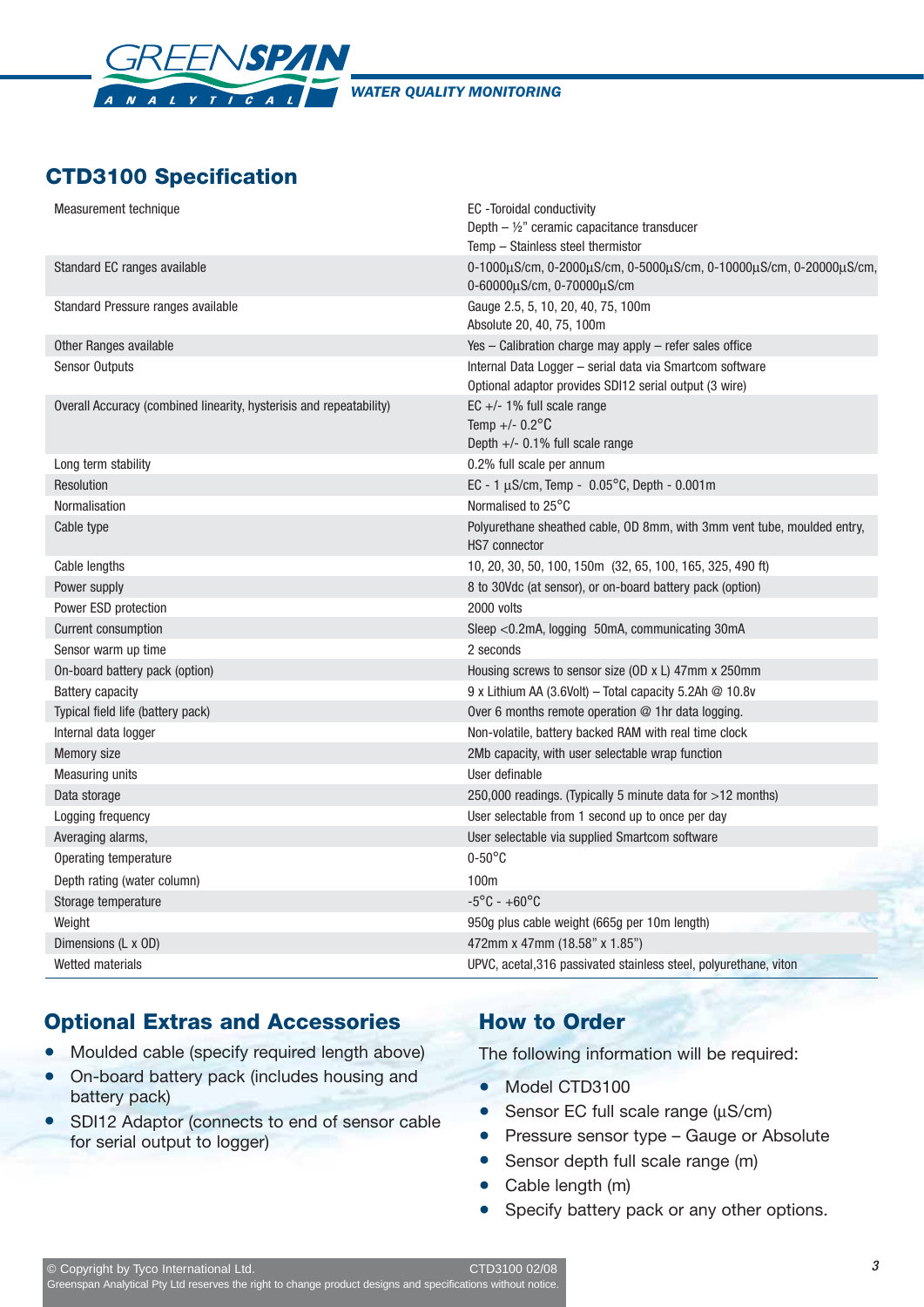

*WATER QUALITY MONITORING* 

# **CTD3100 Specification**

| Measurement technique                                               | EC -Toroidal conductivity<br>Depth $-$ 1/ <sub>2</sub> " ceramic capacitance transducer                            |
|---------------------------------------------------------------------|--------------------------------------------------------------------------------------------------------------------|
|                                                                     | Temp - Stainless steel thermistor                                                                                  |
| Standard EC ranges available                                        | 0-1000μS/cm, 0-2000μS/cm, 0-5000μS/cm, 0-10000μS/cm, 0-20000μS/cm,<br>0-60000µS/cm, 0-70000µS/cm                   |
| Standard Pressure ranges available                                  | Gauge 2.5, 5, 10, 20, 40, 75, 100m<br>Absolute 20, 40, 75, 100m                                                    |
| Other Ranges available                                              | Yes - Calibration charge may apply - refer sales office                                                            |
| <b>Sensor Outputs</b>                                               | Internal Data Logger - serial data via Smartcom software<br>Optional adaptor provides SDI12 serial output (3 wire) |
| Overall Accuracy (combined linearity, hysterisis and repeatability) | EC $+/-$ 1% full scale range<br>Temp +/- $0.2^{\circ}$ C<br>Depth $+/-$ 0.1% full scale range                      |
| Long term stability                                                 | 0.2% full scale per annum                                                                                          |
| Resolution                                                          | EC - 1 $\mu$ S/cm, Temp - 0.05°C, Depth - 0.001m                                                                   |
| Normalisation                                                       | Normalised to 25°C                                                                                                 |
| Cable type                                                          | Polyurethane sheathed cable, OD 8mm, with 3mm vent tube, moulded entry,<br>HS7 connector                           |
| Cable lengths                                                       | 10, 20, 30, 50, 100, 150m (32, 65, 100, 165, 325, 490 ft)                                                          |
| Power supply                                                        | 8 to 30Vdc (at sensor), or on-board battery pack (option)                                                          |
| Power ESD protection                                                | 2000 volts                                                                                                         |
| Current consumption                                                 | Sleep <0.2mA, logging 50mA, communicating 30mA                                                                     |
| Sensor warm up time                                                 | 2 seconds                                                                                                          |
| On-board battery pack (option)                                      | Housing screws to sensor size (OD x L) 47mm x 250mm                                                                |
| <b>Battery capacity</b>                                             | 9 x Lithium AA (3.6Volt) – Total capacity 5.2Ah $\oslash$ 10.8v                                                    |
| Typical field life (battery pack)                                   | Over 6 months remote operation @ 1hr data logging.                                                                 |
| Internal data logger                                                | Non-volatile, battery backed RAM with real time clock                                                              |
| Memory size                                                         | 2Mb capacity, with user selectable wrap function                                                                   |
| <b>Measuring units</b>                                              | User definable                                                                                                     |
| Data storage                                                        | 250,000 readings. (Typically 5 minute data for >12 months)                                                         |
| Logging frequency                                                   | User selectable from 1 second up to once per day                                                                   |
| Averaging alarms,                                                   | User selectable via supplied Smartcom software                                                                     |
| Operating temperature                                               | $0-50^{\circ}$ C                                                                                                   |
| Depth rating (water column)                                         | 100m                                                                                                               |
| Storage temperature                                                 | $-5^{\circ}$ C - $+60^{\circ}$ C                                                                                   |
| Weight                                                              | 950g plus cable weight (665g per 10m length)                                                                       |
| Dimensions (L x OD)                                                 | 472mm x 47mm (18.58" x 1.85")                                                                                      |
| Wetted materials                                                    | UPVC, acetal, 316 passivated stainless steel, polyurethane, viton                                                  |

# **Optional Extras and Accessories**

- Moulded cable (specify required length above)
- On-board battery pack (includes housing and battery pack)
- SDI12 Adaptor (connects to end of sensor cable for serial output to logger)

# **How to Order**

The following information will be required:

- Model CTD3100
- Sensor EC full scale range (μS/cm)
- Pressure sensor type Gauge or Absolute
- Sensor depth full scale range (m)
- Cable length (m)
- Specify battery pack or any other options.